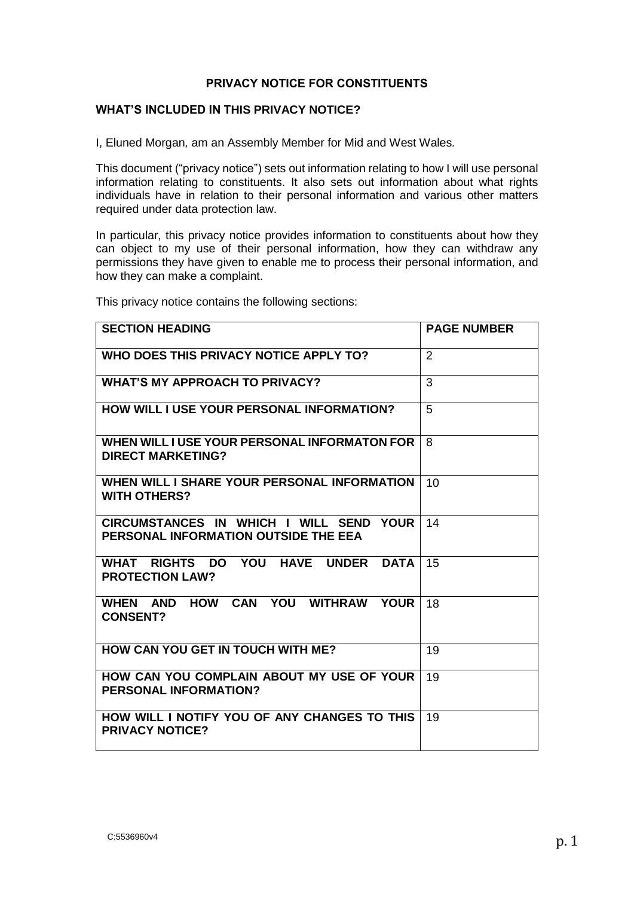#### **PRIVACY NOTICE FOR CONSTITUENTS**

#### **WHAT'S INCLUDED IN THIS PRIVACY NOTICE?**

I, Eluned Morgan*,* am an Assembly Member for Mid and West Wales*.* 

This document ("privacy notice") sets out information relating to how I will use personal information relating to constituents. It also sets out information about what rights individuals have in relation to their personal information and various other matters required under data protection law.

In particular, this privacy notice provides information to constituents about how they can object to my use of their personal information, how they can withdraw any permissions they have given to enable me to process their personal information, and how they can make a complaint.

| <b>SECTION HEADING</b>                                                                                       | <b>PAGE NUMBER</b> |
|--------------------------------------------------------------------------------------------------------------|--------------------|
| WHO DOES THIS PRIVACY NOTICE APPLY TO?                                                                       | 2                  |
| <b>WHAT'S MY APPROACH TO PRIVACY?</b>                                                                        | 3                  |
| HOW WILL I USE YOUR PERSONAL INFORMATION?                                                                    | 5                  |
| WHEN WILL I USE YOUR PERSONAL INFORMATON FOR<br><b>DIRECT MARKETING?</b>                                     | 8                  |
| WHEN WILL I SHARE YOUR PERSONAL INFORMATION<br><b>WITH OTHERS?</b>                                           | 10                 |
| CIRCUMSTANCES IN WHICH I WILL SEND YOUR<br>PERSONAL INFORMATION OUTSIDE THE EEA                              | 14                 |
| YOU<br><b>RIGHTS</b><br><b>HAVE</b><br>WHAT<br>DO –<br><b>UNDER</b><br><b>DATA</b><br><b>PROTECTION LAW?</b> | 15                 |
| HOW CAN YOU<br>WHEN AND<br><b>WITHRAW</b><br><b>YOUR</b><br><b>CONSENT?</b>                                  | 18                 |
| <b>HOW CAN YOU GET IN TOUCH WITH ME?</b>                                                                     | 19                 |
| HOW CAN YOU COMPLAIN ABOUT MY USE OF YOUR<br><b>PERSONAL INFORMATION?</b>                                    | 19                 |
| HOW WILL I NOTIFY YOU OF ANY CHANGES TO THIS<br><b>PRIVACY NOTICE?</b>                                       | 19                 |

This privacy notice contains the following sections: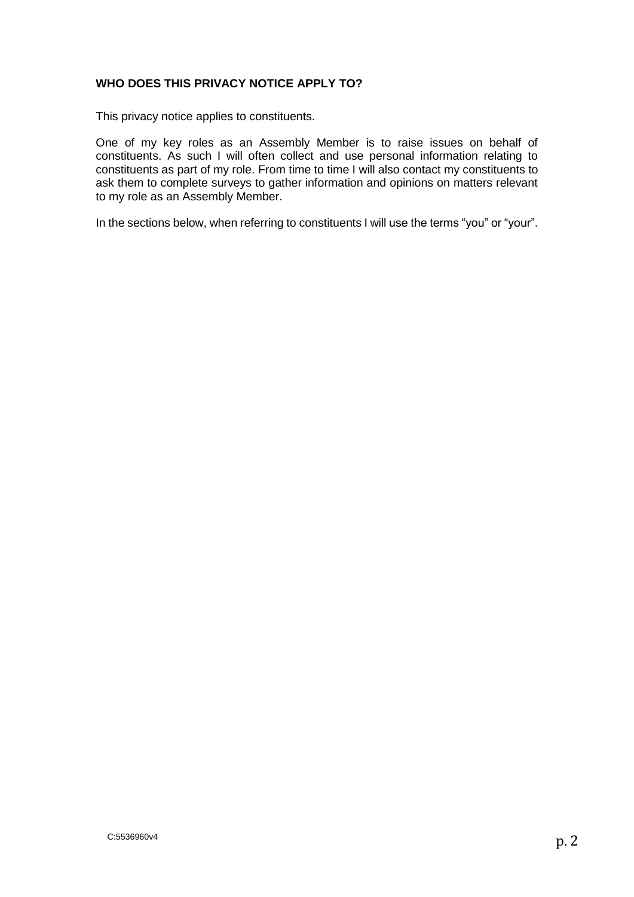#### **WHO DOES THIS PRIVACY NOTICE APPLY TO?**

This privacy notice applies to constituents.

One of my key roles as an Assembly Member is to raise issues on behalf of constituents. As such I will often collect and use personal information relating to constituents as part of my role. From time to time I will also contact my constituents to ask them to complete surveys to gather information and opinions on matters relevant to my role as an Assembly Member.

In the sections below, when referring to constituents I will use the terms "you" or "your".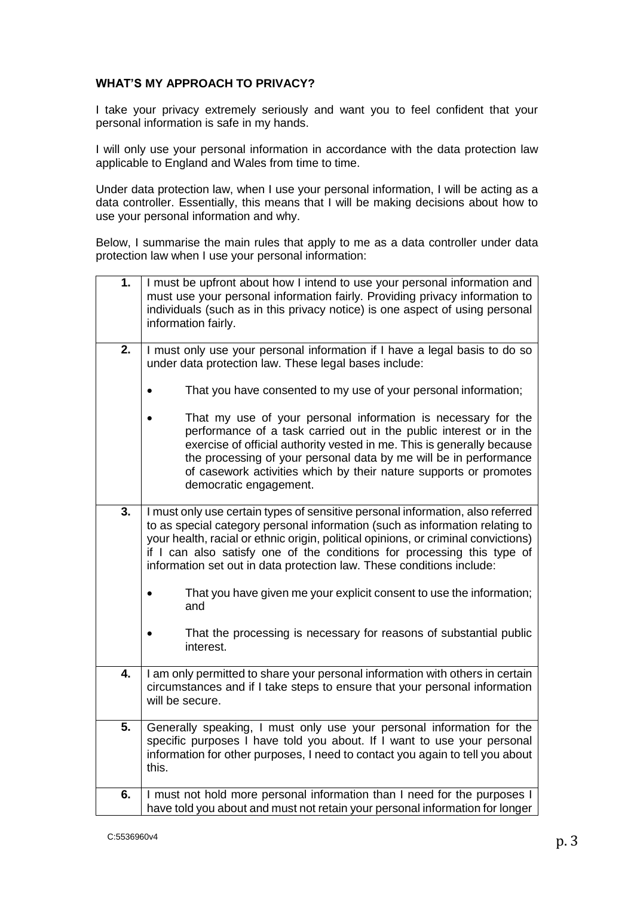#### **WHAT'S MY APPROACH TO PRIVACY?**

I take your privacy extremely seriously and want you to feel confident that your personal information is safe in my hands.

I will only use your personal information in accordance with the data protection law applicable to England and Wales from time to time.

Under data protection law, when I use your personal information, I will be acting as a data controller. Essentially, this means that I will be making decisions about how to use your personal information and why.

Below, I summarise the main rules that apply to me as a data controller under data protection law when I use your personal information:

| 1. | I must be upfront about how I intend to use your personal information and<br>must use your personal information fairly. Providing privacy information to<br>individuals (such as in this privacy notice) is one aspect of using personal<br>information fairly.                                                                                                                                          |
|----|----------------------------------------------------------------------------------------------------------------------------------------------------------------------------------------------------------------------------------------------------------------------------------------------------------------------------------------------------------------------------------------------------------|
| 2. | I must only use your personal information if I have a legal basis to do so<br>under data protection law. These legal bases include:                                                                                                                                                                                                                                                                      |
|    | That you have consented to my use of your personal information;                                                                                                                                                                                                                                                                                                                                          |
|    | That my use of your personal information is necessary for the<br>performance of a task carried out in the public interest or in the<br>exercise of official authority vested in me. This is generally because<br>the processing of your personal data by me will be in performance<br>of casework activities which by their nature supports or promotes<br>democratic engagement.                        |
| 3. | I must only use certain types of sensitive personal information, also referred<br>to as special category personal information (such as information relating to<br>your health, racial or ethnic origin, political opinions, or criminal convictions)<br>if I can also satisfy one of the conditions for processing this type of<br>information set out in data protection law. These conditions include: |
|    | That you have given me your explicit consent to use the information;<br>and                                                                                                                                                                                                                                                                                                                              |
|    | That the processing is necessary for reasons of substantial public<br>interest.                                                                                                                                                                                                                                                                                                                          |
| 4. | I am only permitted to share your personal information with others in certain<br>circumstances and if I take steps to ensure that your personal information<br>will be secure.                                                                                                                                                                                                                           |
| 5. | Generally speaking, I must only use your personal information for the<br>specific purposes I have told you about. If I want to use your personal<br>information for other purposes, I need to contact you again to tell you about<br>this.                                                                                                                                                               |
| 6. | I must not hold more personal information than I need for the purposes I<br>have told you about and must not retain your personal information for longer                                                                                                                                                                                                                                                 |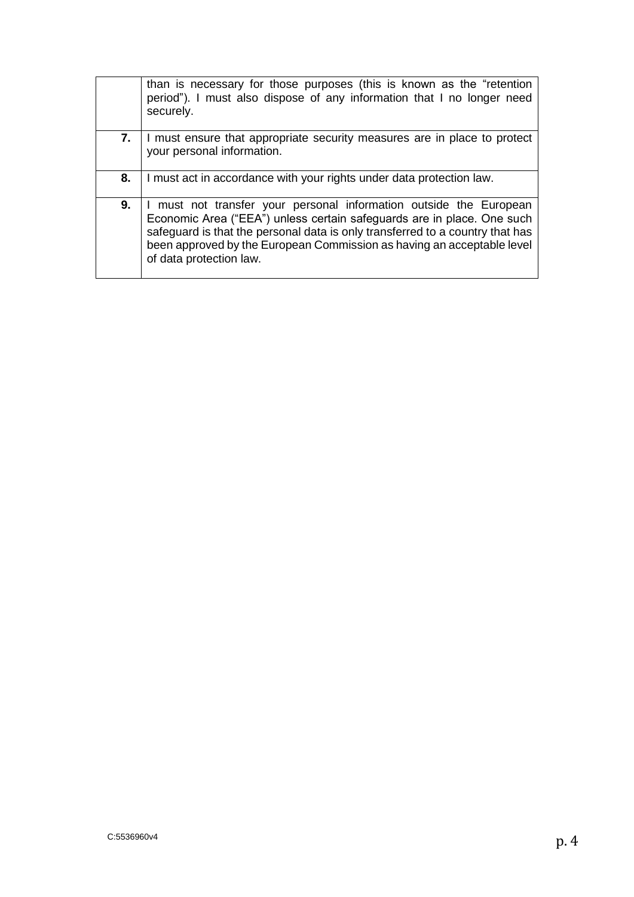|    | than is necessary for those purposes (this is known as the "retention<br>period"). I must also dispose of any information that I no longer need<br>securely.                                                                                                                                                                       |
|----|------------------------------------------------------------------------------------------------------------------------------------------------------------------------------------------------------------------------------------------------------------------------------------------------------------------------------------|
| 7. | I must ensure that appropriate security measures are in place to protect<br>your personal information.                                                                                                                                                                                                                             |
| 8. | I must act in accordance with your rights under data protection law.                                                                                                                                                                                                                                                               |
| 9. | I must not transfer your personal information outside the European<br>Economic Area ("EEA") unless certain safeguards are in place. One such<br>safeguard is that the personal data is only transferred to a country that has<br>been approved by the European Commission as having an acceptable level<br>of data protection law. |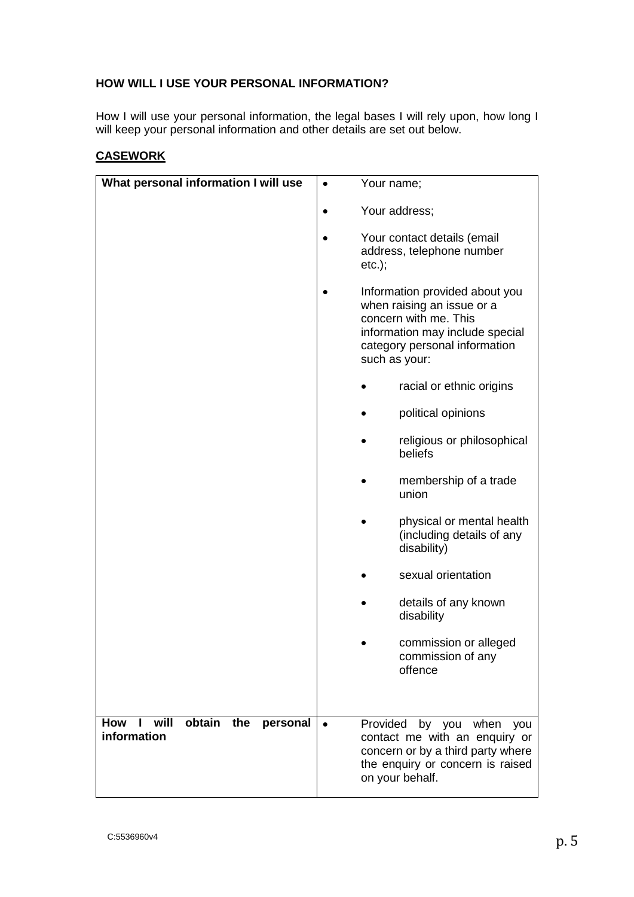### **HOW WILL I USE YOUR PERSONAL INFORMATION?**

How I will use your personal information, the legal bases I will rely upon, how long I will keep your personal information and other details are set out below.

## **CASEWORK**

| What personal information I will use             | Your name;                                                                                                                                                                 |
|--------------------------------------------------|----------------------------------------------------------------------------------------------------------------------------------------------------------------------------|
|                                                  |                                                                                                                                                                            |
|                                                  | Your address;                                                                                                                                                              |
|                                                  | Your contact details (email<br>address, telephone number<br>$etc.$ ;                                                                                                       |
|                                                  | Information provided about you<br>when raising an issue or a<br>concern with me. This<br>information may include special<br>category personal information<br>such as your: |
|                                                  | racial or ethnic origins                                                                                                                                                   |
|                                                  | political opinions                                                                                                                                                         |
|                                                  | religious or philosophical<br>beliefs                                                                                                                                      |
|                                                  | membership of a trade<br>union                                                                                                                                             |
|                                                  | physical or mental health<br>(including details of any<br>disability)                                                                                                      |
|                                                  | sexual orientation                                                                                                                                                         |
|                                                  | details of any known<br>disability                                                                                                                                         |
|                                                  | commission or alleged<br>commission of any<br>offence                                                                                                                      |
|                                                  |                                                                                                                                                                            |
| How I will<br>obtain the personal<br>information | Provided<br>by you when<br>you<br>contact me with an enquiry or<br>concern or by a third party where<br>the enquiry or concern is raised<br>on your behalf.                |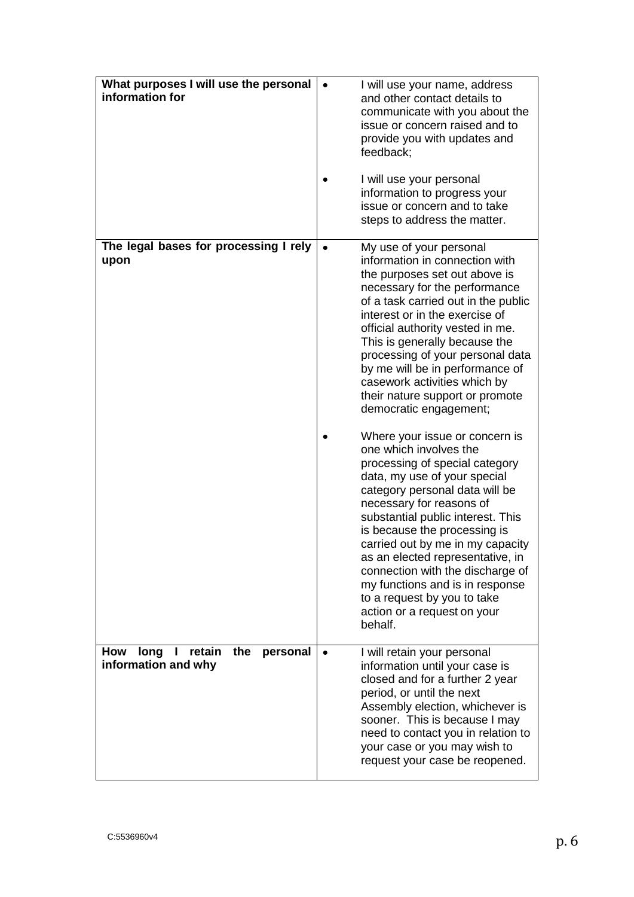| What purposes I will use the personal<br>information for             |           | I will use your name, address<br>and other contact details to<br>communicate with you about the<br>issue or concern raised and to<br>provide you with updates and<br>feedback;<br>I will use your personal<br>information to progress your<br>issue or concern and to take<br>steps to address the matter.                                                                                                                                                                            |
|----------------------------------------------------------------------|-----------|---------------------------------------------------------------------------------------------------------------------------------------------------------------------------------------------------------------------------------------------------------------------------------------------------------------------------------------------------------------------------------------------------------------------------------------------------------------------------------------|
| The legal bases for processing I rely<br>upon                        |           | My use of your personal<br>information in connection with<br>the purposes set out above is<br>necessary for the performance<br>of a task carried out in the public<br>interest or in the exercise of<br>official authority vested in me.<br>This is generally because the<br>processing of your personal data<br>by me will be in performance of<br>casework activities which by<br>their nature support or promote<br>democratic engagement;                                         |
|                                                                      |           | Where your issue or concern is<br>one which involves the<br>processing of special category<br>data, my use of your special<br>category personal data will be<br>necessary for reasons of<br>substantial public interest. This<br>is because the processing is<br>carried out by me in my capacity<br>as an elected representative, in<br>connection with the discharge of<br>my functions and is in response<br>to a request by you to take<br>action or a request on your<br>behalf. |
| retain<br>How<br>long<br>the<br>personal<br>Н<br>information and why | $\bullet$ | I will retain your personal<br>information until your case is<br>closed and for a further 2 year<br>period, or until the next<br>Assembly election, whichever is<br>sooner. This is because I may<br>need to contact you in relation to<br>your case or you may wish to<br>request your case be reopened.                                                                                                                                                                             |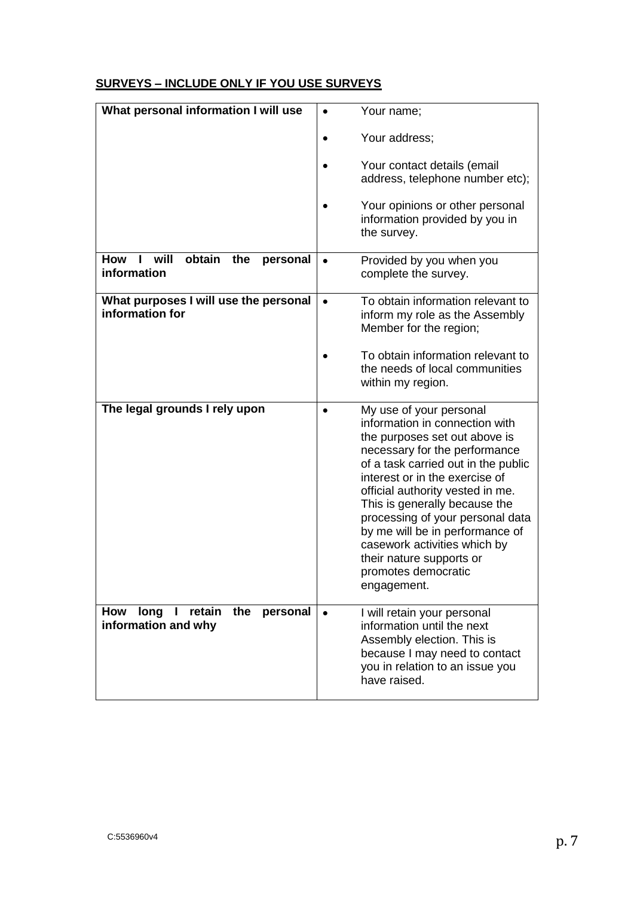# **SURVEYS – INCLUDE ONLY IF YOU USE SURVEYS**

| What personal information I will use                           | Your name;<br>$\bullet$                                                                                                                                                                                                                                                                                                                                                                                                                            |
|----------------------------------------------------------------|----------------------------------------------------------------------------------------------------------------------------------------------------------------------------------------------------------------------------------------------------------------------------------------------------------------------------------------------------------------------------------------------------------------------------------------------------|
|                                                                | Your address;                                                                                                                                                                                                                                                                                                                                                                                                                                      |
|                                                                | Your contact details (email<br>address, telephone number etc);                                                                                                                                                                                                                                                                                                                                                                                     |
|                                                                | Your opinions or other personal<br>information provided by you in<br>the survey.                                                                                                                                                                                                                                                                                                                                                                   |
| obtain<br><b>How</b><br>will<br>the<br>personal<br>information | Provided by you when you<br>complete the survey.                                                                                                                                                                                                                                                                                                                                                                                                   |
| What purposes I will use the personal<br>information for       | To obtain information relevant to<br>$\bullet$<br>inform my role as the Assembly<br>Member for the region;                                                                                                                                                                                                                                                                                                                                         |
|                                                                | To obtain information relevant to<br>the needs of local communities<br>within my region.                                                                                                                                                                                                                                                                                                                                                           |
| The legal grounds I rely upon                                  | My use of your personal<br>information in connection with<br>the purposes set out above is<br>necessary for the performance<br>of a task carried out in the public<br>interest or in the exercise of<br>official authority vested in me.<br>This is generally because the<br>processing of your personal data<br>by me will be in performance of<br>casework activities which by<br>their nature supports or<br>promotes democratic<br>engagement. |
| I retain<br>long<br>the<br><b>How</b><br>personal              |                                                                                                                                                                                                                                                                                                                                                                                                                                                    |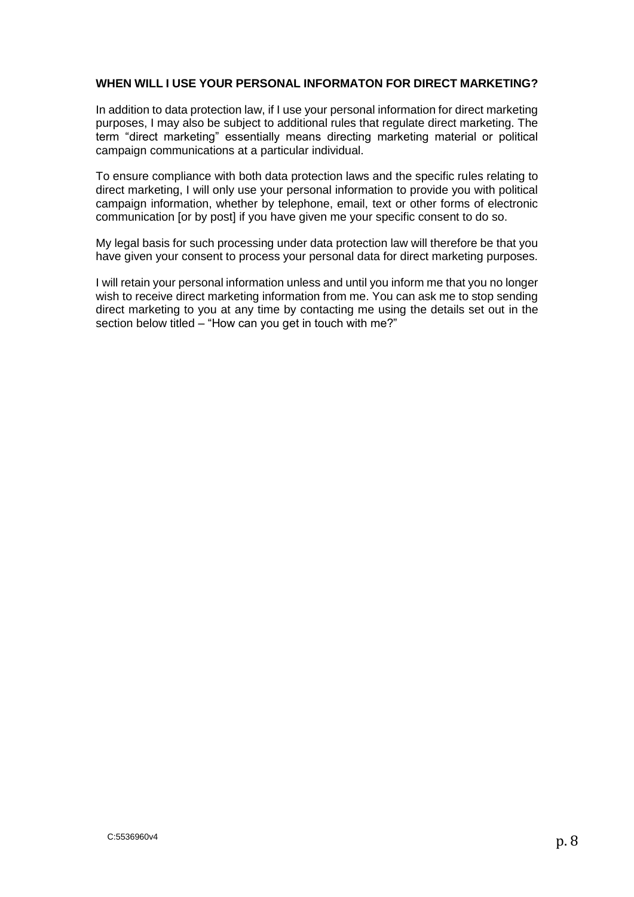#### **WHEN WILL I USE YOUR PERSONAL INFORMATON FOR DIRECT MARKETING?**

In addition to data protection law, if I use your personal information for direct marketing purposes, I may also be subject to additional rules that regulate direct marketing. The term "direct marketing" essentially means directing marketing material or political campaign communications at a particular individual.

To ensure compliance with both data protection laws and the specific rules relating to direct marketing, I will only use your personal information to provide you with political campaign information, whether by telephone, email, text or other forms of electronic communication [or by post] if you have given me your specific consent to do so.

My legal basis for such processing under data protection law will therefore be that you have given your consent to process your personal data for direct marketing purposes.

I will retain your personal information unless and until you inform me that you no longer wish to receive direct marketing information from me. You can ask me to stop sending direct marketing to you at any time by contacting me using the details set out in the section below titled – "How can you get in touch with me?"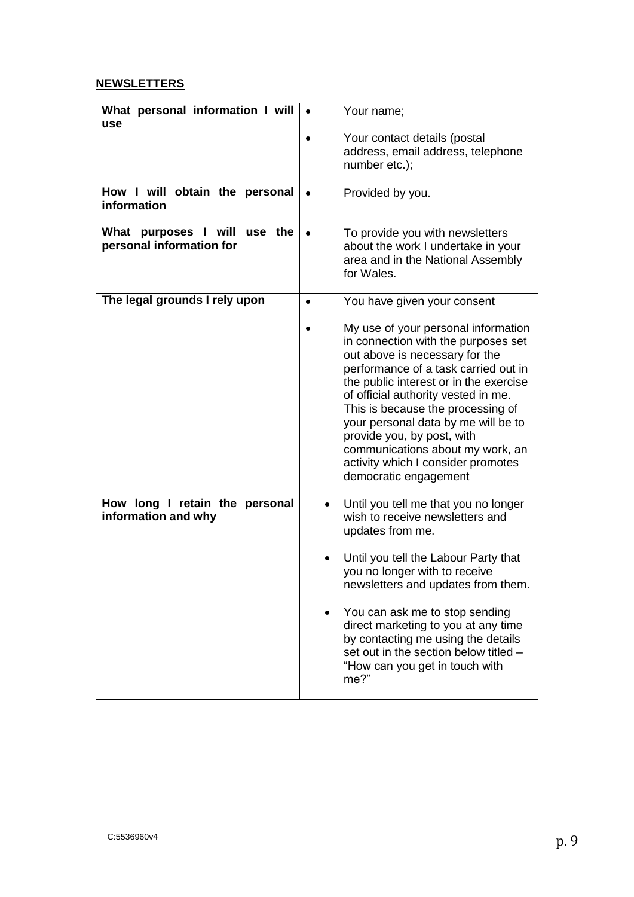# **NEWSLETTERS**

| What personal information I will                               | Your name;                                                                                                                                                                                                                                                                                                                                                                                                                                         |
|----------------------------------------------------------------|----------------------------------------------------------------------------------------------------------------------------------------------------------------------------------------------------------------------------------------------------------------------------------------------------------------------------------------------------------------------------------------------------------------------------------------------------|
| use                                                            | Your contact details (postal                                                                                                                                                                                                                                                                                                                                                                                                                       |
|                                                                | address, email address, telephone                                                                                                                                                                                                                                                                                                                                                                                                                  |
|                                                                | number etc.);                                                                                                                                                                                                                                                                                                                                                                                                                                      |
| How I will obtain the personal<br>information                  | Provided by you.<br>$\bullet$                                                                                                                                                                                                                                                                                                                                                                                                                      |
| What<br>purposes I will<br>use the<br>personal information for | To provide you with newsletters<br>$\bullet$<br>about the work I undertake in your<br>area and in the National Assembly<br>for Wales.                                                                                                                                                                                                                                                                                                              |
| The legal grounds I rely upon                                  | You have given your consent<br>$\bullet$                                                                                                                                                                                                                                                                                                                                                                                                           |
|                                                                | My use of your personal information<br>in connection with the purposes set<br>out above is necessary for the<br>performance of a task carried out in<br>the public interest or in the exercise<br>of official authority vested in me.<br>This is because the processing of<br>your personal data by me will be to<br>provide you, by post, with<br>communications about my work, an<br>activity which I consider promotes<br>democratic engagement |
| How long I retain the personal<br>information and why          | Until you tell me that you no longer<br>wish to receive newsletters and<br>updates from me.<br>Until you tell the Labour Party that                                                                                                                                                                                                                                                                                                                |
|                                                                | you no longer with to receive<br>newsletters and updates from them.                                                                                                                                                                                                                                                                                                                                                                                |
|                                                                | You can ask me to stop sending<br>direct marketing to you at any time<br>by contacting me using the details<br>set out in the section below titled -<br>"How can you get in touch with<br>me?"                                                                                                                                                                                                                                                     |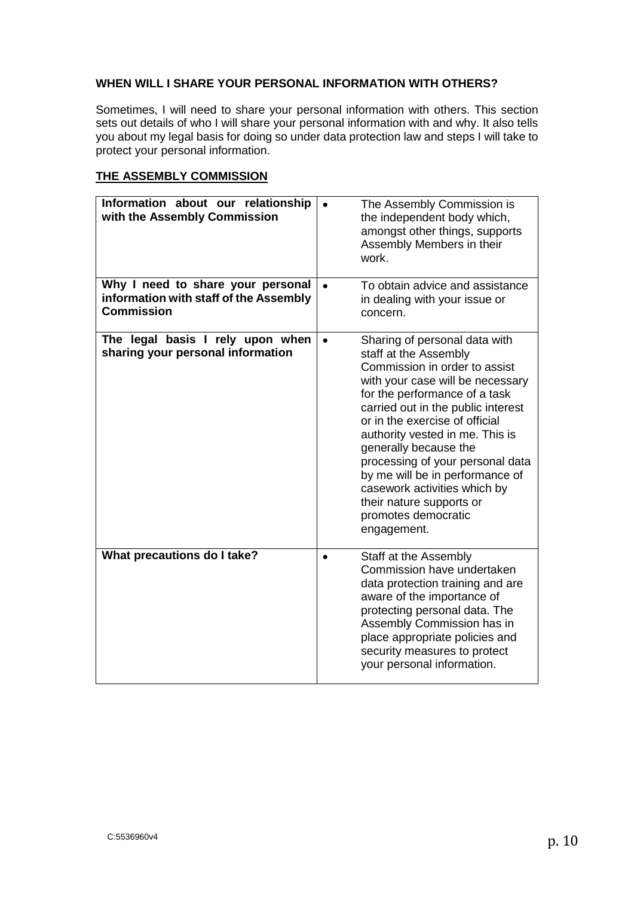#### **WHEN WILL I SHARE YOUR PERSONAL INFORMATION WITH OTHERS?**

Sometimes, I will need to share your personal information with others. This section sets out details of who I will share your personal information with and why. It also tells you about my legal basis for doing so under data protection law and steps I will take to protect your personal information.

#### **THE ASSEMBLY COMMISSION**

| Information about our relationship<br>with the Assembly Commission                               |           | The Assembly Commission is<br>the independent body which,<br>amongst other things, supports<br>Assembly Members in their<br>work.                                                                                                                                                                                                                                                                                                                                         |
|--------------------------------------------------------------------------------------------------|-----------|---------------------------------------------------------------------------------------------------------------------------------------------------------------------------------------------------------------------------------------------------------------------------------------------------------------------------------------------------------------------------------------------------------------------------------------------------------------------------|
| Why I need to share your personal<br>information with staff of the Assembly<br><b>Commission</b> | $\bullet$ | To obtain advice and assistance<br>in dealing with your issue or<br>concern.                                                                                                                                                                                                                                                                                                                                                                                              |
| The legal basis I rely upon when<br>sharing your personal information                            | $\bullet$ | Sharing of personal data with<br>staff at the Assembly<br>Commission in order to assist<br>with your case will be necessary<br>for the performance of a task<br>carried out in the public interest<br>or in the exercise of official<br>authority vested in me. This is<br>generally because the<br>processing of your personal data<br>by me will be in performance of<br>casework activities which by<br>their nature supports or<br>promotes democratic<br>engagement. |
| What precautions do I take?                                                                      |           | Staff at the Assembly<br>Commission have undertaken<br>data protection training and are<br>aware of the importance of<br>protecting personal data. The<br>Assembly Commission has in<br>place appropriate policies and<br>security measures to protect<br>your personal information.                                                                                                                                                                                      |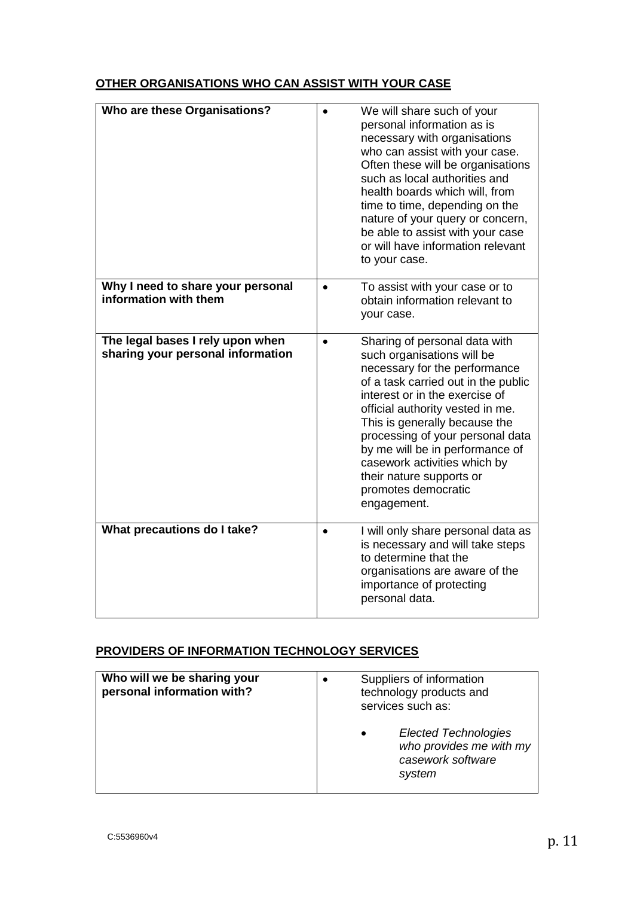# **OTHER ORGANISATIONS WHO CAN ASSIST WITH YOUR CASE**

| Who are these Organisations?                                          | We will share such of your<br>personal information as is<br>necessary with organisations<br>who can assist with your case.<br>Often these will be organisations<br>such as local authorities and<br>health boards which will, from<br>time to time, depending on the<br>nature of your query or concern,<br>be able to assist with your case<br>or will have information relevant<br>to your case.                               |
|-----------------------------------------------------------------------|----------------------------------------------------------------------------------------------------------------------------------------------------------------------------------------------------------------------------------------------------------------------------------------------------------------------------------------------------------------------------------------------------------------------------------|
| Why I need to share your personal<br>information with them            | To assist with your case or to<br>obtain information relevant to<br>your case.                                                                                                                                                                                                                                                                                                                                                   |
| The legal bases I rely upon when<br>sharing your personal information | Sharing of personal data with<br>$\bullet$<br>such organisations will be<br>necessary for the performance<br>of a task carried out in the public<br>interest or in the exercise of<br>official authority vested in me.<br>This is generally because the<br>processing of your personal data<br>by me will be in performance of<br>casework activities which by<br>their nature supports or<br>promotes democratic<br>engagement. |
| What precautions do I take?                                           | I will only share personal data as<br>$\bullet$<br>is necessary and will take steps<br>to determine that the<br>organisations are aware of the<br>importance of protecting<br>personal data.                                                                                                                                                                                                                                     |

# **PROVIDERS OF INFORMATION TECHNOLOGY SERVICES**

| Who will we be sharing your<br>personal information with? | Suppliers of information<br>technology products and<br>services such as:              |  |
|-----------------------------------------------------------|---------------------------------------------------------------------------------------|--|
|                                                           | <b>Elected Technologies</b><br>who provides me with my<br>casework software<br>system |  |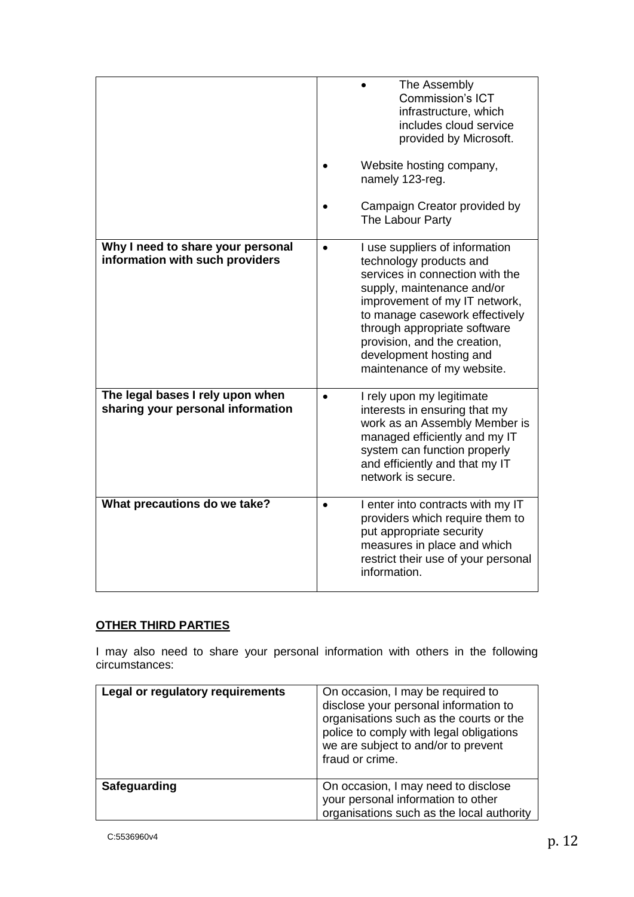|                                                                       | The Assembly<br><b>Commission's ICT</b><br>infrastructure, which<br>includes cloud service<br>provided by Microsoft.<br>Website hosting company,<br>namely 123-reg.<br>Campaign Creator provided by                                                                                                                    |
|-----------------------------------------------------------------------|------------------------------------------------------------------------------------------------------------------------------------------------------------------------------------------------------------------------------------------------------------------------------------------------------------------------|
|                                                                       | The Labour Party                                                                                                                                                                                                                                                                                                       |
| Why I need to share your personal<br>information with such providers  | I use suppliers of information<br>technology products and<br>services in connection with the<br>supply, maintenance and/or<br>improvement of my IT network,<br>to manage casework effectively<br>through appropriate software<br>provision, and the creation,<br>development hosting and<br>maintenance of my website. |
| The legal bases I rely upon when<br>sharing your personal information | I rely upon my legitimate<br>$\bullet$<br>interests in ensuring that my<br>work as an Assembly Member is<br>managed efficiently and my IT<br>system can function properly<br>and efficiently and that my IT<br>network is secure.                                                                                      |
| What precautions do we take?                                          | I enter into contracts with my IT<br>providers which require them to<br>put appropriate security<br>measures in place and which<br>restrict their use of your personal<br>information.                                                                                                                                 |

# **OTHER THIRD PARTIES**

I may also need to share your personal information with others in the following circumstances:

| Legal or regulatory requirements | On occasion, I may be required to<br>disclose your personal information to<br>organisations such as the courts or the<br>police to comply with legal obligations<br>we are subject to and/or to prevent<br>fraud or crime. |
|----------------------------------|----------------------------------------------------------------------------------------------------------------------------------------------------------------------------------------------------------------------------|
| Safeguarding                     | On occasion, I may need to disclose<br>your personal information to other<br>organisations such as the local authority                                                                                                     |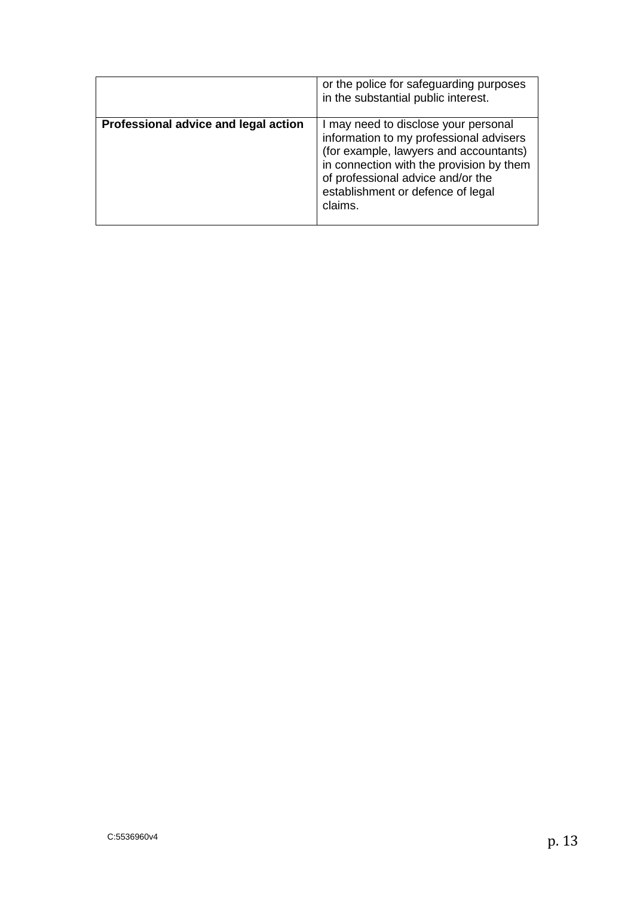|                                      | or the police for safeguarding purposes<br>in the substantial public interest.                                                                                                                                                                             |
|--------------------------------------|------------------------------------------------------------------------------------------------------------------------------------------------------------------------------------------------------------------------------------------------------------|
| Professional advice and legal action | I may need to disclose your personal<br>information to my professional advisers<br>(for example, lawyers and accountants)<br>in connection with the provision by them<br>of professional advice and/or the<br>establishment or defence of legal<br>claims. |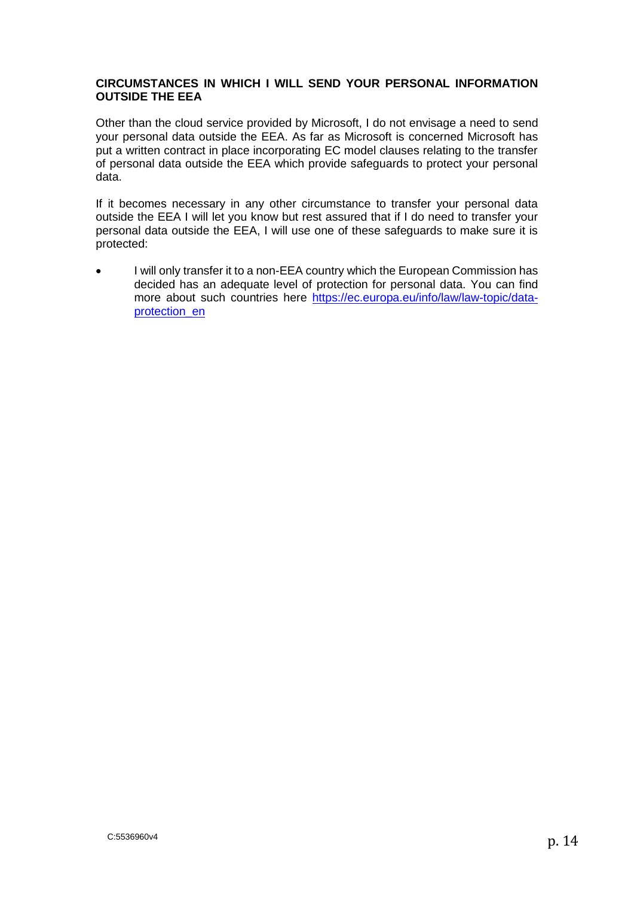#### **CIRCUMSTANCES IN WHICH I WILL SEND YOUR PERSONAL INFORMATION OUTSIDE THE EEA**

Other than the cloud service provided by Microsoft, I do not envisage a need to send your personal data outside the EEA. As far as Microsoft is concerned Microsoft has put a written contract in place incorporating EC model clauses relating to the transfer of personal data outside the EEA which provide safeguards to protect your personal data.

If it becomes necessary in any other circumstance to transfer your personal data outside the EEA I will let you know but rest assured that if I do need to transfer your personal data outside the EEA, I will use one of these safeguards to make sure it is protected:

• I will only transfer it to a non-EEA country which the European Commission has decided has an adequate level of protection for personal data. You can find more about such countries here [https://ec.europa.eu/info/law/law-topic/data](https://ec.europa.eu/info/law/law-topic/data-protection_en)[protection\\_en](https://ec.europa.eu/info/law/law-topic/data-protection_en)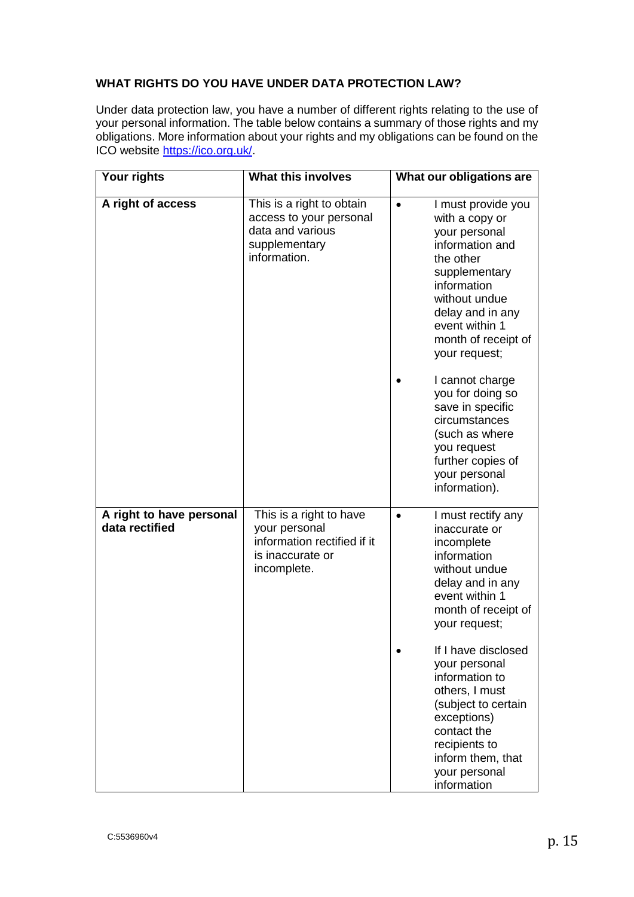### **WHAT RIGHTS DO YOU HAVE UNDER DATA PROTECTION LAW?**

Under data protection law, you have a number of different rights relating to the use of your personal information. The table below contains a summary of those rights and my obligations. More information about your rights and my obligations can be found on the ICO website [https://ico.org.uk/.](https://ico.org.uk/)

| Your rights                                | <b>What this involves</b>                                                                                  | What our obligations are                                                                                                                                                                                                                                                                                                                                                            |
|--------------------------------------------|------------------------------------------------------------------------------------------------------------|-------------------------------------------------------------------------------------------------------------------------------------------------------------------------------------------------------------------------------------------------------------------------------------------------------------------------------------------------------------------------------------|
| A right of access                          | This is a right to obtain<br>access to your personal<br>data and various<br>supplementary<br>information.  | I must provide you<br>$\bullet$<br>with a copy or<br>your personal<br>information and<br>the other<br>supplementary<br>information<br>without undue<br>delay and in any<br>event within 1<br>month of receipt of<br>your request;                                                                                                                                                   |
|                                            |                                                                                                            | I cannot charge<br>you for doing so<br>save in specific<br>circumstances<br>(such as where<br>you request<br>further copies of<br>your personal<br>information).                                                                                                                                                                                                                    |
| A right to have personal<br>data rectified | This is a right to have<br>your personal<br>information rectified if it<br>is inaccurate or<br>incomplete. | I must rectify any<br>$\bullet$<br>inaccurate or<br>incomplete<br>information<br>without undue<br>delay and in any<br>event within 1<br>month of receipt of<br>your request;<br>If I have disclosed<br>your personal<br>information to<br>others, I must<br>(subject to certain<br>exceptions)<br>contact the<br>recipients to<br>inform them, that<br>your personal<br>information |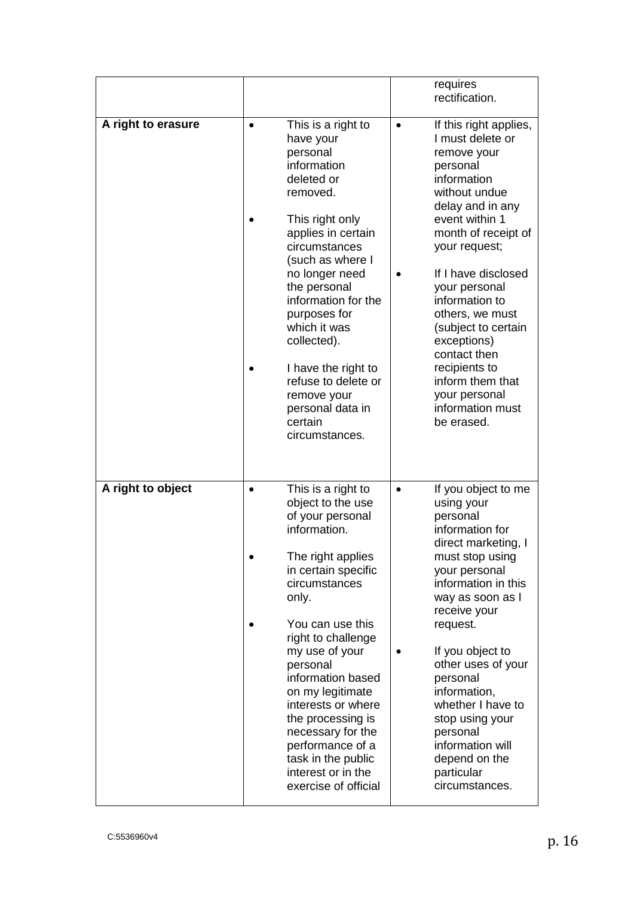|                    |                      |                                                                                                                                                                                                                                                                                                                                                                                                                   |           | requires<br>rectification.                                                                                                                                                                                                                                                                                                                                                                                     |
|--------------------|----------------------|-------------------------------------------------------------------------------------------------------------------------------------------------------------------------------------------------------------------------------------------------------------------------------------------------------------------------------------------------------------------------------------------------------------------|-----------|----------------------------------------------------------------------------------------------------------------------------------------------------------------------------------------------------------------------------------------------------------------------------------------------------------------------------------------------------------------------------------------------------------------|
| A right to erasure | $\bullet$<br>certain | This is a right to<br>have your<br>personal<br>information<br>deleted or<br>removed.<br>This right only<br>applies in certain<br>circumstances<br>(such as where I<br>no longer need<br>the personal<br>information for the<br>purposes for<br>which it was<br>collected).<br>I have the right to<br>refuse to delete or<br>remove your<br>personal data in<br>circumstances.                                     | $\bullet$ | If this right applies,<br>I must delete or<br>remove your<br>personal<br>information<br>without undue<br>delay and in any<br>event within 1<br>month of receipt of<br>your request;<br>If I have disclosed<br>your personal<br>information to<br>others, we must<br>(subject to certain<br>exceptions)<br>contact then<br>recipients to<br>inform them that<br>your personal<br>information must<br>be erased. |
| A right to object  | $\bullet$<br>only.   | This is a right to<br>object to the use<br>of your personal<br>information.<br>The right applies<br>in certain specific<br>circumstances<br>You can use this<br>right to challenge<br>my use of your<br>personal<br>information based<br>on my legitimate<br>interests or where<br>the processing is<br>necessary for the<br>performance of a<br>task in the public<br>interest or in the<br>exercise of official | $\bullet$ | If you object to me<br>using your<br>personal<br>information for<br>direct marketing, I<br>must stop using<br>your personal<br>information in this<br>way as soon as I<br>receive your<br>request.<br>If you object to<br>other uses of your<br>personal<br>information,<br>whether I have to<br>stop using your<br>personal<br>information will<br>depend on the<br>particular<br>circumstances.              |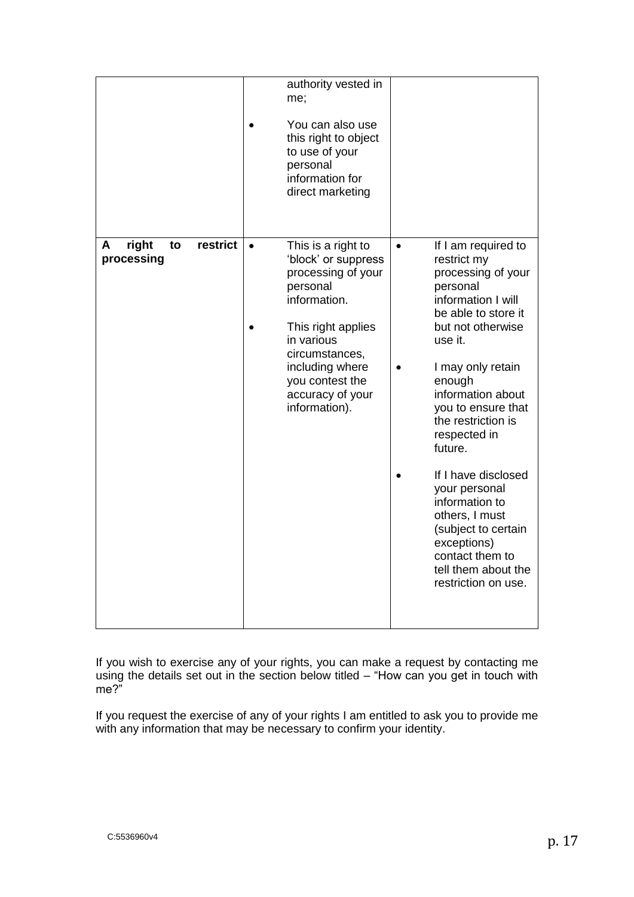|                                            | authority vested in<br>me;<br>You can also use<br>this right to object<br>to use of your<br>personal<br>information for<br>direct marketing                                                                                               |                                                                                                                                                                                                                                                                                                                                                                                                                                                                                           |
|--------------------------------------------|-------------------------------------------------------------------------------------------------------------------------------------------------------------------------------------------------------------------------------------------|-------------------------------------------------------------------------------------------------------------------------------------------------------------------------------------------------------------------------------------------------------------------------------------------------------------------------------------------------------------------------------------------------------------------------------------------------------------------------------------------|
| right<br>restrict<br>A<br>to<br>processing | This is a right to<br>$\bullet$<br>'block' or suppress<br>processing of your<br>personal<br>information.<br>This right applies<br>in various<br>circumstances,<br>including where<br>you contest the<br>accuracy of your<br>information). | If I am required to<br>$\bullet$<br>restrict my<br>processing of your<br>personal<br>information I will<br>be able to store it<br>but not otherwise<br>use it.<br>I may only retain<br>$\bullet$<br>enough<br>information about<br>you to ensure that<br>the restriction is<br>respected in<br>future.<br>If I have disclosed<br>your personal<br>information to<br>others, I must<br>(subject to certain<br>exceptions)<br>contact them to<br>tell them about the<br>restriction on use. |

If you wish to exercise any of your rights, you can make a request by contacting me using the details set out in the section below titled – "How can you get in touch with me?"

If you request the exercise of any of your rights I am entitled to ask you to provide me with any information that may be necessary to confirm your identity.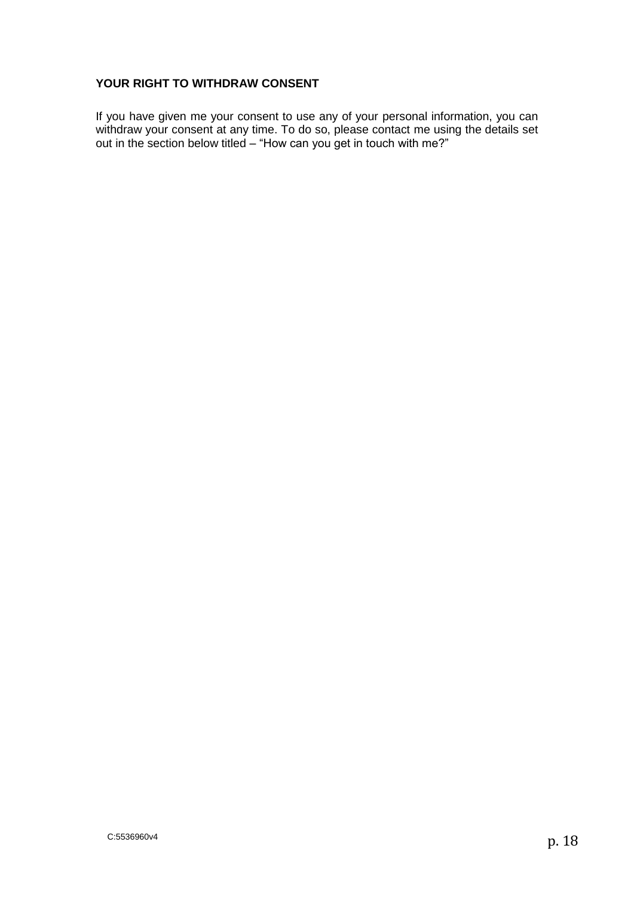### **YOUR RIGHT TO WITHDRAW CONSENT**

If you have given me your consent to use any of your personal information, you can withdraw your consent at any time. To do so, please contact me using the details set out in the section below titled – "How can you get in touch with me?"